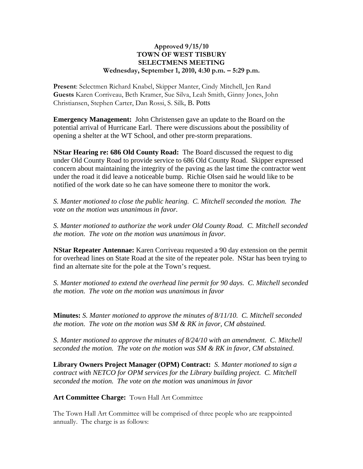## **Approved 9/15/10 TOWN OF WEST TISBURY SELECTMENS MEETING Wednesday, September 1, 2010, 4:30 p.m. – 5:29 p.m.**

**Present**: Selectmen Richard Knabel, Skipper Manter, Cindy Mitchell, Jen Rand **Guests** Karen Corriveau, Beth Kramer, Sue Silva, Leah Smith, Ginny Jones, John Christiansen, Stephen Carter, Dan Rossi, S. Silk, B. Potts

**Emergency Management:** John Christensen gave an update to the Board on the potential arrival of Hurricane Earl. There were discussions about the possibility of opening a shelter at the WT School, and other pre-storm preparations.

**NStar Hearing re: 686 Old County Road:** The Board discussed the request to dig under Old County Road to provide service to 686 Old County Road. Skipper expressed concern about maintaining the integrity of the paving as the last time the contractor went under the road it did leave a noticeable bump. Richie Olsen said he would like to be notified of the work date so he can have someone there to monitor the work.

*S. Manter motioned to close the public hearing. C. Mitchell seconded the motion. The vote on the motion was unanimous in favor.* 

*S. Manter motioned to authorize the work under Old County Road. C. Mitchell seconded the motion. The vote on the motion was unanimous in favor.* 

**NStar Repeater Antennae:** Karen Corriveau requested a 90 day extension on the permit for overhead lines on State Road at the site of the repeater pole. NStar has been trying to find an alternate site for the pole at the Town's request.

*S. Manter motioned to extend the overhead line permit for 90 days. C. Mitchell seconded the motion. The vote on the motion was unanimous in favor* 

**Minutes:** *S. Manter motioned to approve the minutes of 8/11/10. C. Mitchell seconded the motion. The vote on the motion was SM & RK in favor, CM abstained.*

*S. Manter motioned to approve the minutes of 8/24/10 with an amendment. C. Mitchell seconded the motion. The vote on the motion was SM & RK in favor, CM abstained.*

**Library Owners Project Manager (OPM) Contract:** *S. Manter motioned to sign a contract with NETCO for OPM services for the Library building project. C. Mitchell seconded the motion. The vote on the motion was unanimous in favor* 

**Art Committee Charge:** Town Hall Art Committee

The Town Hall Art Committee will be comprised of three people who are reappointed annually. The charge is as follows: